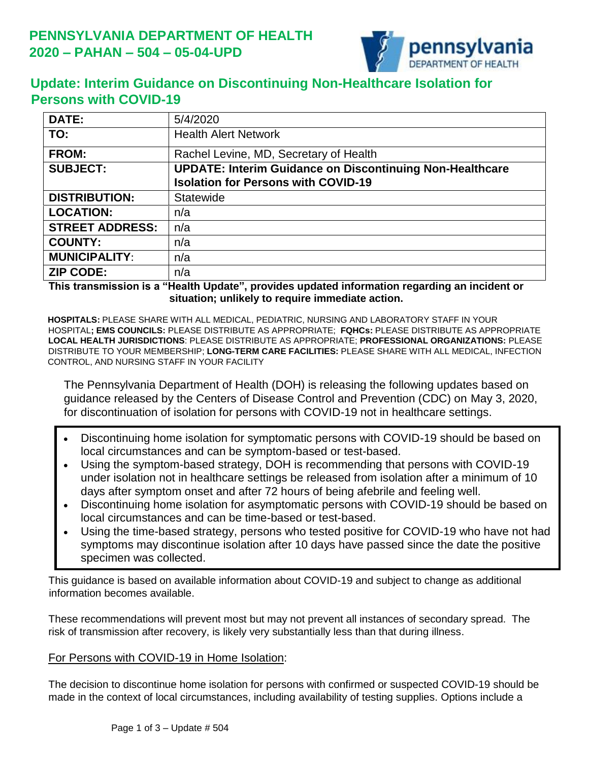

# **Update: Interim Guidance on Discontinuing Non-Healthcare Isolation for Persons with COVID-19**

| DATE:                  | 5/4/2020                                                        |
|------------------------|-----------------------------------------------------------------|
| TO:                    | <b>Health Alert Network</b>                                     |
| <b>FROM:</b>           | Rachel Levine, MD, Secretary of Health                          |
| <b>SUBJECT:</b>        | <b>UPDATE: Interim Guidance on Discontinuing Non-Healthcare</b> |
|                        | <b>Isolation for Persons with COVID-19</b>                      |
| <b>DISTRIBUTION:</b>   | Statewide                                                       |
| <b>LOCATION:</b>       | n/a                                                             |
| <b>STREET ADDRESS:</b> | n/a                                                             |
| <b>COUNTY:</b>         | n/a                                                             |
| <b>MUNICIPALITY:</b>   | n/a                                                             |
| <b>ZIP CODE:</b>       | n/a                                                             |

**This transmission is a "Health Update", provides updated information regarding an incident or situation; unlikely to require immediate action.**

**HOSPITALS:** PLEASE SHARE WITH ALL MEDICAL, PEDIATRIC, NURSING AND LABORATORY STAFF IN YOUR HOSPITAL**; EMS COUNCILS:** PLEASE DISTRIBUTE AS APPROPRIATE; **FQHCs:** PLEASE DISTRIBUTE AS APPROPRIATE **LOCAL HEALTH JURISDICTIONS**: PLEASE DISTRIBUTE AS APPROPRIATE; **PROFESSIONAL ORGANIZATIONS:** PLEASE DISTRIBUTE TO YOUR MEMBERSHIP; **LONG-TERM CARE FACILITIES:** PLEASE SHARE WITH ALL MEDICAL, INFECTION CONTROL, AND NURSING STAFF IN YOUR FACILITY

The Pennsylvania Department of Health (DOH) is releasing the following updates based on guidance released by the Centers of Disease Control and Prevention (CDC) on May 3, 2020, for discontinuation of isolation for persons with COVID-19 not in healthcare settings.

- Discontinuing home isolation for symptomatic persons with COVID-19 should be based on local circumstances and can be symptom-based or test-based.
- Using the symptom-based strategy, DOH is recommending that persons with COVID-19 under isolation not in healthcare settings be released from isolation after a minimum of 10 days after symptom onset and after 72 hours of being afebrile and feeling well.
- Discontinuing home isolation for asymptomatic persons with COVID-19 should be based on local circumstances and can be time-based or test-based.
- Using the time-based strategy, persons who tested positive for COVID-19 who have not had symptoms may discontinue isolation after 10 days have passed since the date the positive specimen was collected.

This guidance is based on available information about COVID-19 and subject to change as additional information becomes available.

These recommendations will prevent most but may not prevent all instances of secondary spread. The risk of transmission after recovery, is likely very substantially less than that during illness.

## For Persons with COVID-19 in Home Isolation:

The decision to discontinue home isolation for persons with confirmed or suspected COVID-19 should be made in the context of local circumstances, including availability of testing supplies. Options include a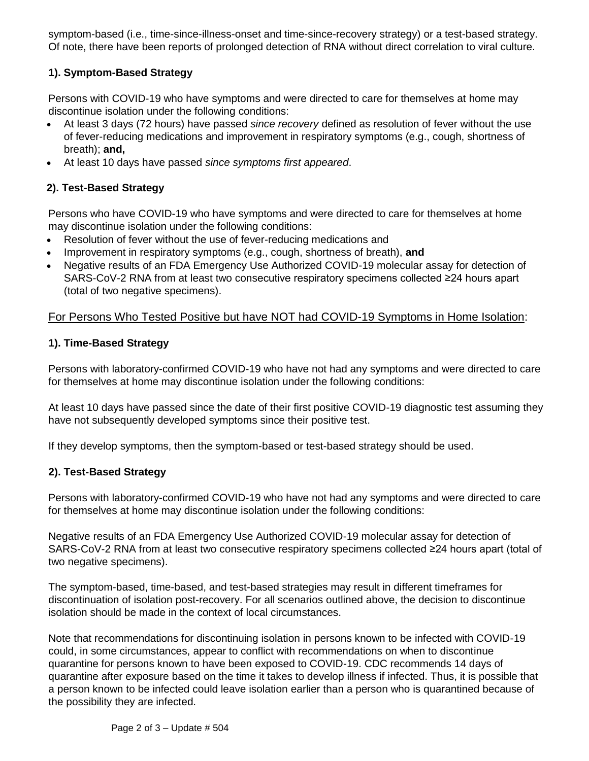symptom-based (i.e., time-since-illness-onset and time-since-recovery strategy) or a test-based strategy. Of note, there have been reports of prolonged detection of RNA without direct correlation to viral culture.

#### **1). Symptom-Based Strategy**

Persons with COVID-19 who have symptoms and were directed to care for themselves at home may discontinue isolation under the following conditions:

- At least 3 days (72 hours) have passed *since recovery* defined as resolution of fever without the use of fever-reducing medications and improvement in respiratory symptoms (e.g., cough, shortness of breath); **and,**
- At least 10 days have passed *since symptoms first appeared*.

## **2). Test-Based Strategy**

Persons who have COVID-19 who have symptoms and were directed to care for themselves at home may discontinue isolation under the following conditions:

- Resolution of fever without the use of fever-reducing medications and
- Improvement in respiratory symptoms (e.g., cough, shortness of breath), **and**
- Negative results of an FDA Emergency Use Authorized COVID-19 molecular assay for detection of SARS-CoV-2 RNA from at least two consecutive respiratory specimens collected ≥24 hours apart (total of two negative specimens).

## For Persons Who Tested Positive but have NOT had COVID-19 Symptoms in Home Isolation:

#### **1). Time-Based Strategy**

Persons with laboratory-confirmed COVID-19 who have not had any symptoms and were directed to care for themselves at home may discontinue isolation under the following conditions:

At least 10 days have passed since the date of their first positive COVID-19 diagnostic test assuming they have not subsequently developed symptoms since their positive test.

If they develop symptoms, then the symptom-based or test-based strategy should be used.

#### **2). Test-Based Strategy**

Persons with laboratory-confirmed COVID-19 who have not had any symptoms and were directed to care for themselves at home may discontinue isolation under the following conditions:

Negative results of an FDA Emergency Use Authorized COVID-19 molecular assay for detection of SARS-CoV-2 RNA from at least two consecutive respiratory specimens collected ≥24 hours apart (total of two negative specimens).

The symptom-based, time-based, and test-based strategies may result in different timeframes for discontinuation of isolation post-recovery. For all scenarios outlined above, the decision to discontinue isolation should be made in the context of local circumstances.

Note that recommendations for discontinuing isolation in persons known to be infected with COVID-19 could, in some circumstances, appear to conflict with recommendations on when to discontinue quarantine for persons known to have been exposed to COVID-19. CDC recommends 14 days of quarantine after exposure based on the time it takes to develop illness if infected. Thus, it is possible that a person known to be infected could leave isolation earlier than a person who is quarantined because of the possibility they are infected.